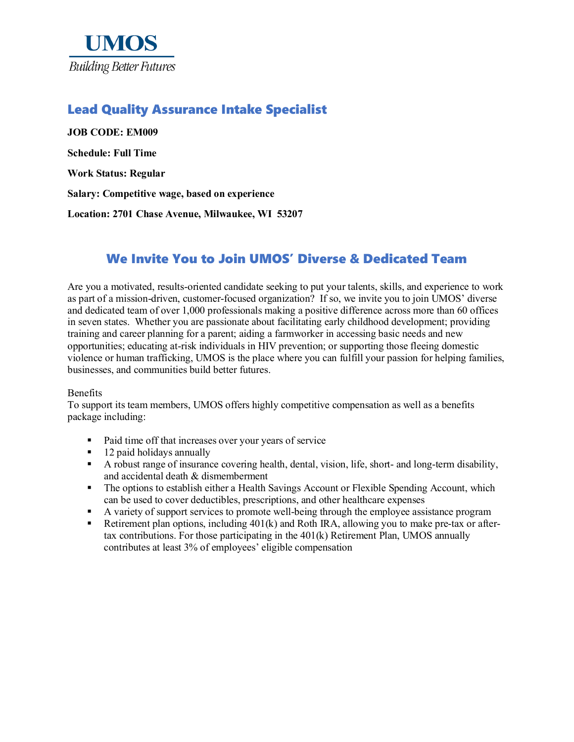

## Lead Quality Assurance Intake Specialist

**JOB CODE: EM009 Schedule: Full Time Work Status: Regular Salary: Competitive wage, based on experience Location: 2701 Chase Avenue, Milwaukee, WI 53207**

## We Invite You to Join UMOS' Diverse & Dedicated Team

Are you a motivated, results-oriented candidate seeking to put your talents, skills, and experience to work as part of a mission-driven, customer-focused organization? If so, we invite you to join UMOS' diverse and dedicated team of over 1,000 professionals making a positive difference across more than 60 offices in seven states. Whether you are passionate about facilitating early childhood development; providing training and career planning for a parent; aiding a farmworker in accessing basic needs and new opportunities; educating at-risk individuals in HIV prevention; or supporting those fleeing domestic violence or human trafficking, UMOS is the place where you can fulfill your passion for helping families, businesses, and communities build better futures.

#### Benefits

To support its team members, UMOS offers highly competitive compensation as well as a benefits package including:

- Paid time off that increases over your years of service
- $\blacksquare$  12 paid holidays annually
- A robust range of insurance covering health, dental, vision, life, short- and long-term disability, and accidental death & dismemberment
- The options to establish either a Health Savings Account or Flexible Spending Account, which can be used to cover deductibles, prescriptions, and other healthcare expenses
- A variety of support services to promote well-being through the employee assistance program
- Retirement plan options, including 401(k) and Roth IRA, allowing you to make pre-tax or aftertax contributions. For those participating in the 401(k) Retirement Plan, UMOS annually contributes at least 3% of employees' eligible compensation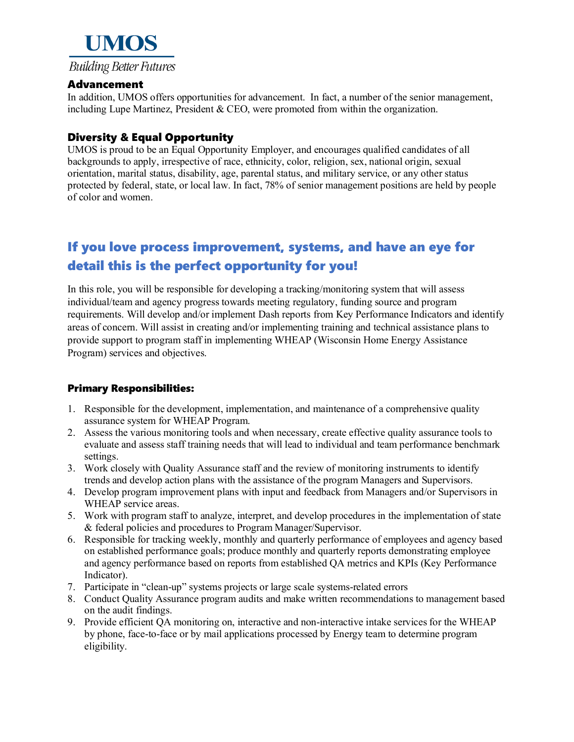

### Advancement

In addition, UMOS offers opportunities for advancement. In fact, a number of the senior management, including Lupe Martinez, President  $\&$  CEO, were promoted from within the organization.

### Diversity & Equal Opportunity

UMOS is proud to be an Equal Opportunity Employer, and encourages qualified candidates of all backgrounds to apply, irrespective of race, ethnicity, color, religion, sex, national origin, sexual orientation, marital status, disability, age, parental status, and military service, or any other status protected by federal, state, or local law. In fact, 78% of senior management positions are held by people of color and women.

# If you love process improvement, systems, and have an eye for detail this is the perfect opportunity for you!

In this role, you will be responsible for developing a tracking/monitoring system that will assess individual/team and agency progress towards meeting regulatory, funding source and program requirements. Will develop and/or implement Dash reports from Key Performance Indicators and identify areas of concern. Will assist in creating and/or implementing training and technical assistance plans to provide support to program staff in implementing WHEAP (Wisconsin Home Energy Assistance Program) services and objectives.

### Primary Responsibilities:

- 1. Responsible for the development, implementation, and maintenance of a comprehensive quality assurance system for WHEAP Program.
- 2. Assess the various monitoring tools and when necessary, create effective quality assurance tools to evaluate and assess staff training needs that will lead to individual and team performance benchmark settings.
- 3. Work closely with Quality Assurance staff and the review of monitoring instruments to identify trends and develop action plans with the assistance of the program Managers and Supervisors.
- 4. Develop program improvement plans with input and feedback from Managers and/or Supervisors in WHEAP service areas.
- 5. Work with program staff to analyze, interpret, and develop procedures in the implementation of state & federal policies and procedures to Program Manager/Supervisor.
- 6. Responsible for tracking weekly, monthly and quarterly performance of employees and agency based on established performance goals; produce monthly and quarterly reports demonstrating employee and agency performance based on reports from established QA metrics and KPIs (Key Performance Indicator).
- 7. Participate in "clean-up" systems projects or large scale systems-related errors
- 8. Conduct Quality Assurance program audits and make written recommendations to management based on the audit findings.
- 9. Provide efficient QA monitoring on, interactive and non-interactive intake services for the WHEAP by phone, face-to-face or by mail applications processed by Energy team to determine program eligibility.